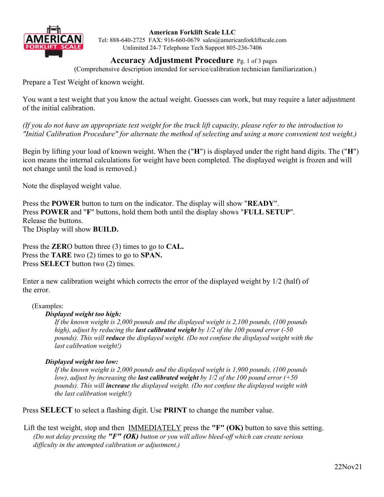

### **American Forklift Scale LLC**

Tel: 888-640-2725 FAX: 916-660-0679 sales@americanforkliftscale.com Unlimited 24-7 Telephone Tech Support 805-236-7406

**Accuracy Adjustment Procedure** Pg. 1 of 3 pages

(Comprehensive description intended for service/calibration technician familiarization.)

Prepare a Test Weight of known weight.

You want a test weight that you know the actual weight. Guesses can work, but may require a later adjustment of the initial calibration.

*(If you do not have an appropriate test weight for the truck lift capacity, please refer to the introduction to "Initial Calibration Procedure" for alternate the method of selecting and using a more convenient test weight.)*

Begin by lifting your load of known weight. When the ("**H**") is displayed under the right hand digits. The ("**H**") icon means the internal calculations for weight have been completed. The displayed weight is frozen and will not change until the load is removed.)

Note the displayed weight value.

Press the **POWER** button to turn on the indicator. The display will show "**READY**". Press **POWER** and "**F**" buttons, hold them both until the display shows "**FULL SETUP**". Release the buttons. The Display will show **BUILD.**

Press the **ZER**O button three (3) times to go to **CAL.** Press the **TARE** two (2) times to go to **SPAN.** Press **SELECT** button two (2) times.

Enter a new calibration weight which corrects the error of the displayed weight by 1/2 (half) of the error.

(Examples:

### *Displayed weight too high:*

*If the known weight is 2,000 pounds and the displayed weight is 2,100 pounds, (100 pounds high), adjust by reducing the last calibrated weight by 1/2 of the 100 pound error (-50 pounds). This will reduce the displayed weight. (Do not confuse the displayed weight with the last calibration weight!)*

### *Displayed weight too low:*

*If the known weight is 2,000 pounds and the displayed weight is 1,900 pounds, (100 pounds low), adjust by increasing the last calibrated weight by 1/2 of the 100 pound error (+50 pounds). This will increase the displayed weight. (Do not confuse the displayed weight with the last calibration weight!)* 

Press **SELECT** to select a flashing digit. Use **PRINT** to change the number value.

Lift the test weight, stop and then **IMMEDIATELY** press the **"F"** (OK) button to save this setting. *(Do not delay pressing the "F" (OK) button or you will allow bleed-off which can create serious difficulty in the attempted calibration or adjustment.)*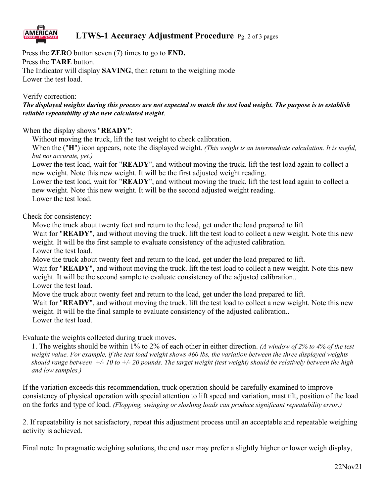

## **LTWS-1 Accuracy Adjustment Procedure** Pg. 2 of 3 pages

Press the **ZER**O button seven (7) times to go to **END.** Press the **TARE** button. The Indicator will display **SAVING**, then return to the weighing mode Lower the test load.

Verify correction:

*The displayed weights during this process are not expected to match the test load weight. The purpose is to establish reliable repeatability of the new calculated weight*.

When the display shows "**READY**":

Without moving the truck, lift the test weight to check calibration.

When the ("**H**") icon appears, note the displayed weight. *(This weight is an intermediate calculation. It is useful, but not accurate, yet.)*

Lower the test load, wait for "**READY**", and without moving the truck. lift the test load again to collect a new weight. Note this new weight. It will be the first adjusted weight reading.

Lower the test load, wait for "**READY**", and without moving the truck. lift the test load again to collect a new weight. Note this new weight. It will be the second adjusted weight reading. Lower the test load.

Check for consistency:

Move the truck about twenty feet and return to the load, get under the load prepared to lift

Wait for "**READY**", and without moving the truck. lift the test load to collect a new weight. Note this new weight. It will be the first sample to evaluate consistency of the adjusted calibration.

Lower the test load.

Move the truck about twenty feet and return to the load, get under the load prepared to lift.

Wait for "**READY**", and without moving the truck. lift the test load to collect a new weight. Note this new weight. It will be the second sample to evaluate consistency of the adjusted calibration..

Lower the test load.

Move the truck about twenty feet and return to the load, get under the load prepared to lift.

Wait for "**READY**", and without moving the truck. lift the test load to collect a new weight. Note this new weight. It will be the final sample to evaluate consistency of the adjusted calibration.. Lower the test load.

Evaluate the weights collected during truck moves.

1. The weights should be within 1% to 2% of each other in either direction. *(A window of 2% to 4% of the test weight value. For example, if the test load weight shows 460 lbs, the variation between the three displayed weights should range between +/- 10 to +/- 20 pounds. The target weight (test weight) should be relatively between the high and low samples.)*

If the variation exceeds this recommendation, truck operation should be carefully examined to improve consistency of physical operation with special attention to lift speed and variation, mast tilt, position of the load on the forks and type of load. *(Flopping, swinging or sloshing loads can produce significant repeatability error.)*

2. If repeatability is not satisfactory, repeat this adjustment process until an acceptable and repeatable weighing activity is achieved.

Final note: In pragmatic weighing solutions, the end user may prefer a slightly higher or lower weigh display,